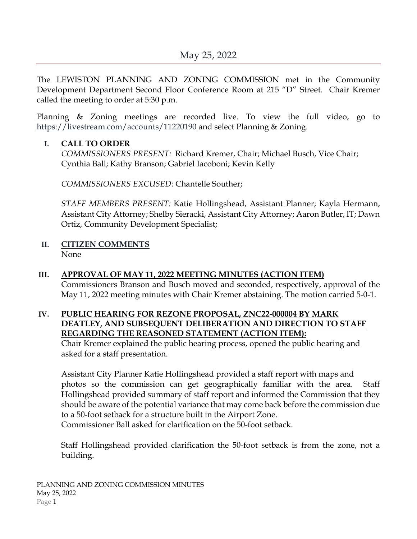The LEWISTON PLANNING AND ZONING COMMISSION met in the Community Development Department Second Floor Conference Room at 215 "D" Street. Chair Kremer called the meeting to order at 5:30 p.m.

Planning & Zoning meetings are recorded live. To view the full video, go to <https://livestream.com/accounts/11220190> and select Planning & Zoning.

#### **I. CALL TO ORDER**

*COMMISSIONERS PRESENT:* Richard Kremer, Chair; Michael Busch, Vice Chair; Cynthia Ball; Kathy Branson; Gabriel Iacoboni; Kevin Kelly

*COMMISSIONERS EXCUSED:* Chantelle Souther;

*STAFF MEMBERS PRESENT:* Katie Hollingshead, Assistant Planner; Kayla Hermann, Assistant City Attorney; Shelby Sieracki, Assistant City Attorney; Aaron Butler, IT; Dawn Ortiz, Community Development Specialist;

## **II. CITIZEN COMMENTS**

None

### **III. APPROVAL OF MAY 11, 2022 MEETING MINUTES (ACTION ITEM)**

Commissioners Branson and Busch moved and seconded, respectively, approval of the May 11, 2022 meeting minutes with Chair Kremer abstaining. The motion carried 5-0-1.

#### **IV. PUBLIC HEARING FOR REZONE PROPOSAL, ZNC22-000004 BY MARK DEATLEY, AND SUBSEQUENT DELIBERATION AND DIRECTION TO STAFF REGARDING THE REASONED STATEMENT (ACTION ITEM):**

Chair Kremer explained the public hearing process, opened the public hearing and asked for a staff presentation.

Assistant City Planner Katie Hollingshead provided a staff report with maps and photos so the commission can get geographically familiar with the area. Staff Hollingshead provided summary of staff report and informed the Commission that they should be aware of the potential variance that may come back before the commission due to a 50-foot setback for a structure built in the Airport Zone.

Commissioner Ball asked for clarification on the 50-foot setback.

Staff Hollingshead provided clarification the 50-foot setback is from the zone, not a building.

PLANNING AND ZONING COMMISSION MINUTES May 25, 2022 Page 1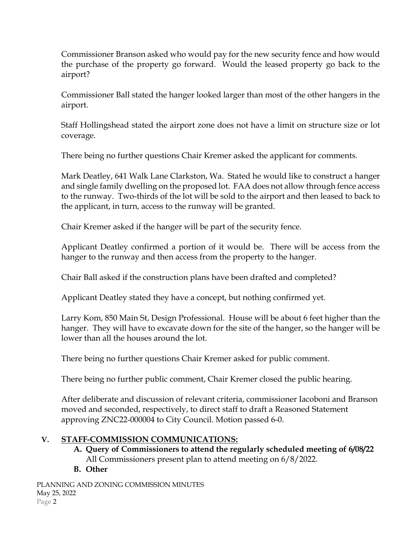Commissioner Branson asked who would pay for the new security fence and how would the purchase of the property go forward. Would the leased property go back to the airport?

Commissioner Ball stated the hanger looked larger than most of the other hangers in the airport.

Staff Hollingshead stated the airport zone does not have a limit on structure size or lot coverage.

There being no further questions Chair Kremer asked the applicant for comments.

Mark Deatley, 641 Walk Lane Clarkston, Wa. Stated he would like to construct a hanger and single family dwelling on the proposed lot. FAA does not allow through fence access to the runway. Two-thirds of the lot will be sold to the airport and then leased to back to the applicant, in turn, access to the runway will be granted.

Chair Kremer asked if the hanger will be part of the security fence.

Applicant Deatley confirmed a portion of it would be. There will be access from the hanger to the runway and then access from the property to the hanger.

Chair Ball asked if the construction plans have been drafted and completed?

Applicant Deatley stated they have a concept, but nothing confirmed yet.

Larry Kom, 850 Main St, Design Professional. House will be about 6 feet higher than the hanger. They will have to excavate down for the site of the hanger, so the hanger will be lower than all the houses around the lot.

There being no further questions Chair Kremer asked for public comment.

There being no further public comment, Chair Kremer closed the public hearing.

After deliberate and discussion of relevant criteria, commissioner Iacoboni and Branson moved and seconded, respectively, to direct staff to draft a Reasoned Statement approving ZNC22-000004 to City Council. Motion passed 6-0.

# **V. STAFF-COMMISSION COMMUNICATIONS:**

- **A. Query of Commissioners to attend the regularly scheduled meeting of 6/08/22** All Commissioners present plan to attend meeting on 6/8/2022.
- **B. Other**

PLANNING AND ZONING COMMISSION MINUTES May 25, 2022 Page 2